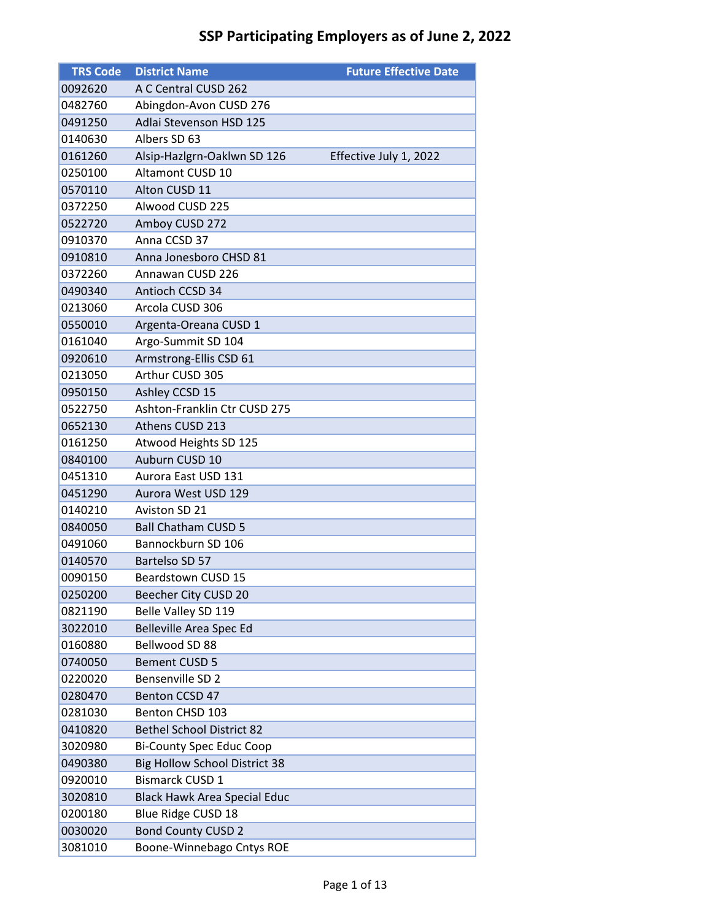| <b>TRS Code</b> | <b>District Name</b>                 | <b>Future Effective Date</b> |
|-----------------|--------------------------------------|------------------------------|
| 0092620         | A C Central CUSD 262                 |                              |
| 0482760         | Abingdon-Avon CUSD 276               |                              |
| 0491250         | Adlai Stevenson HSD 125              |                              |
| 0140630         | Albers SD 63                         |                              |
| 0161260         | Alsip-Hazlgrn-Oaklwn SD 126          | Effective July 1, 2022       |
| 0250100         | <b>Altamont CUSD 10</b>              |                              |
| 0570110         | Alton CUSD 11                        |                              |
| 0372250         | Alwood CUSD 225                      |                              |
| 0522720         | Amboy CUSD 272                       |                              |
| 0910370         | Anna CCSD 37                         |                              |
| 0910810         | Anna Jonesboro CHSD 81               |                              |
| 0372260         | Annawan CUSD 226                     |                              |
| 0490340         | Antioch CCSD 34                      |                              |
| 0213060         | Arcola CUSD 306                      |                              |
| 0550010         | Argenta-Oreana CUSD 1                |                              |
| 0161040         | Argo-Summit SD 104                   |                              |
| 0920610         | Armstrong-Ellis CSD 61               |                              |
| 0213050         | Arthur CUSD 305                      |                              |
| 0950150         | Ashley CCSD 15                       |                              |
| 0522750         | Ashton-Franklin Ctr CUSD 275         |                              |
| 0652130         | Athens CUSD 213                      |                              |
| 0161250         | Atwood Heights SD 125                |                              |
| 0840100         | Auburn CUSD 10                       |                              |
| 0451310         | Aurora East USD 131                  |                              |
| 0451290         | Aurora West USD 129                  |                              |
| 0140210         | Aviston SD 21                        |                              |
| 0840050         | <b>Ball Chatham CUSD 5</b>           |                              |
| 0491060         | Bannockburn SD 106                   |                              |
| 0140570         | Bartelso SD 57                       |                              |
| 0090150         | Beardstown CUSD 15                   |                              |
| 0250200         | Beecher City CUSD 20                 |                              |
| 0821190         | Belle Valley SD 119                  |                              |
| 3022010         | Belleville Area Spec Ed              |                              |
| 0160880         | Bellwood SD 88                       |                              |
| 0740050         | <b>Bement CUSD 5</b>                 |                              |
| 0220020         | Bensenville SD 2                     |                              |
| 0280470         | Benton CCSD 47                       |                              |
| 0281030         | Benton CHSD 103                      |                              |
| 0410820         | <b>Bethel School District 82</b>     |                              |
| 3020980         | <b>Bi-County Spec Educ Coop</b>      |                              |
| 0490380         | <b>Big Hollow School District 38</b> |                              |
| 0920010         | <b>Bismarck CUSD 1</b>               |                              |
| 3020810         | <b>Black Hawk Area Special Educ</b>  |                              |
| 0200180         | Blue Ridge CUSD 18                   |                              |
| 0030020         | <b>Bond County CUSD 2</b>            |                              |
| 3081010         | Boone-Winnebago Cntys ROE            |                              |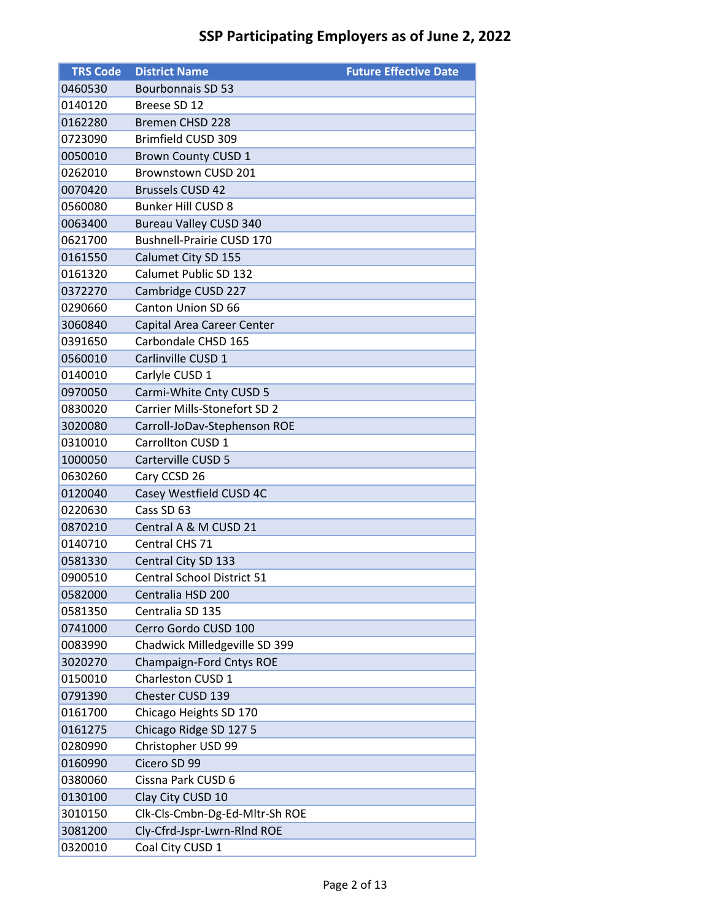| <b>TRS Code</b> | <b>District Name</b>                | <b>Future Effective Date</b> |
|-----------------|-------------------------------------|------------------------------|
| 0460530         | <b>Bourbonnais SD 53</b>            |                              |
| 0140120         | Breese SD 12                        |                              |
| 0162280         | <b>Bremen CHSD 228</b>              |                              |
| 0723090         | Brimfield CUSD 309                  |                              |
| 0050010         | Brown County CUSD 1                 |                              |
| 0262010         | Brownstown CUSD 201                 |                              |
| 0070420         | <b>Brussels CUSD 42</b>             |                              |
| 0560080         | <b>Bunker Hill CUSD 8</b>           |                              |
| 0063400         | <b>Bureau Valley CUSD 340</b>       |                              |
| 0621700         | <b>Bushnell-Prairie CUSD 170</b>    |                              |
| 0161550         | Calumet City SD 155                 |                              |
| 0161320         | Calumet Public SD 132               |                              |
| 0372270         | Cambridge CUSD 227                  |                              |
| 0290660         | Canton Union SD 66                  |                              |
| 3060840         | Capital Area Career Center          |                              |
| 0391650         | Carbondale CHSD 165                 |                              |
| 0560010         | Carlinville CUSD 1                  |                              |
| 0140010         | Carlyle CUSD 1                      |                              |
| 0970050         | Carmi-White Cnty CUSD 5             |                              |
| 0830020         | <b>Carrier Mills-Stonefort SD 2</b> |                              |
| 3020080         | Carroll-JoDav-Stephenson ROE        |                              |
| 0310010         | Carrollton CUSD 1                   |                              |
| 1000050         | Carterville CUSD 5                  |                              |
| 0630260         | Cary CCSD 26                        |                              |
| 0120040         | Casey Westfield CUSD 4C             |                              |
| 0220630         | Cass SD 63                          |                              |
| 0870210         | Central A & M CUSD 21               |                              |
| 0140710         | Central CHS 71                      |                              |
| 0581330         | Central City SD 133                 |                              |
| 0900510         | <b>Central School District 51</b>   |                              |
| 0582000         | Centralia HSD 200                   |                              |
| 0581350         | Centralia SD 135                    |                              |
| 0741000         | Cerro Gordo CUSD 100                |                              |
| 0083990         | Chadwick Milledgeville SD 399       |                              |
| 3020270         | Champaign-Ford Cntys ROE            |                              |
| 0150010         | Charleston CUSD 1                   |                              |
| 0791390         | Chester CUSD 139                    |                              |
| 0161700         | Chicago Heights SD 170              |                              |
| 0161275         | Chicago Ridge SD 127 5              |                              |
| 0280990         | Christopher USD 99                  |                              |
| 0160990         | Cicero SD 99                        |                              |
| 0380060         | Cissna Park CUSD 6                  |                              |
| 0130100         | Clay City CUSD 10                   |                              |
| 3010150         | Clk-Cls-Cmbn-Dg-Ed-Mltr-Sh ROE      |                              |
| 3081200         | Cly-Cfrd-Jspr-Lwrn-RInd ROE         |                              |
| 0320010         | Coal City CUSD 1                    |                              |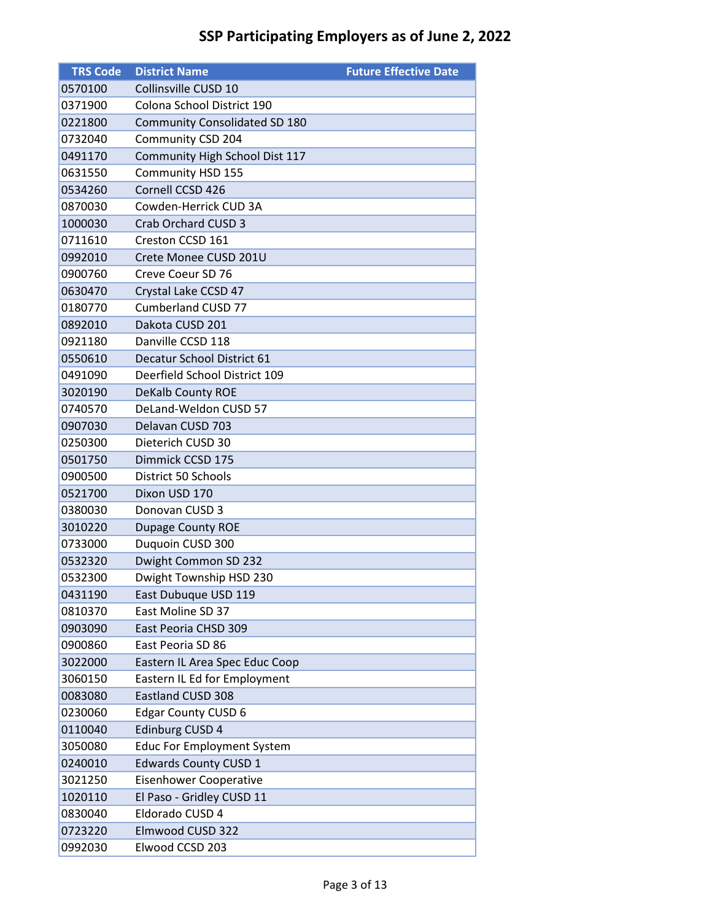| <b>TRS Code</b> | <b>District Name</b>                 | <b>Future Effective Date</b> |
|-----------------|--------------------------------------|------------------------------|
| 0570100         | Collinsville CUSD 10                 |                              |
| 0371900         | Colona School District 190           |                              |
| 0221800         | <b>Community Consolidated SD 180</b> |                              |
| 0732040         | Community CSD 204                    |                              |
| 0491170         | Community High School Dist 117       |                              |
| 0631550         | Community HSD 155                    |                              |
| 0534260         | Cornell CCSD 426                     |                              |
| 0870030         | Cowden-Herrick CUD 3A                |                              |
| 1000030         | Crab Orchard CUSD 3                  |                              |
| 0711610         | Creston CCSD 161                     |                              |
| 0992010         | Crete Monee CUSD 201U                |                              |
| 0900760         | Creve Coeur SD 76                    |                              |
| 0630470         | Crystal Lake CCSD 47                 |                              |
| 0180770         | <b>Cumberland CUSD 77</b>            |                              |
| 0892010         | Dakota CUSD 201                      |                              |
| 0921180         | Danville CCSD 118                    |                              |
| 0550610         | Decatur School District 61           |                              |
| 0491090         | Deerfield School District 109        |                              |
| 3020190         | <b>DeKalb County ROE</b>             |                              |
| 0740570         | DeLand-Weldon CUSD 57                |                              |
| 0907030         | Delavan CUSD 703                     |                              |
| 0250300         | Dieterich CUSD 30                    |                              |
| 0501750         | Dimmick CCSD 175                     |                              |
| 0900500         | <b>District 50 Schools</b>           |                              |
| 0521700         | Dixon USD 170                        |                              |
| 0380030         | Donovan CUSD 3                       |                              |
| 3010220         | Dupage County ROE                    |                              |
| 0733000         | Duquoin CUSD 300                     |                              |
| 0532320         | Dwight Common SD 232                 |                              |
| 0532300         | Dwight Township HSD 230              |                              |
| 0431190         | East Dubuque USD 119                 |                              |
| 0810370         | East Moline SD 37                    |                              |
| 0903090         | East Peoria CHSD 309                 |                              |
| 0900860         | East Peoria SD 86                    |                              |
| 3022000         | Eastern IL Area Spec Educ Coop       |                              |
| 3060150         | Eastern IL Ed for Employment         |                              |
| 0083080         | <b>Eastland CUSD 308</b>             |                              |
| 0230060         | <b>Edgar County CUSD 6</b>           |                              |
| 0110040         | Edinburg CUSD 4                      |                              |
| 3050080         | <b>Educ For Employment System</b>    |                              |
| 0240010         | <b>Edwards County CUSD 1</b>         |                              |
| 3021250         | Eisenhower Cooperative               |                              |
| 1020110         | El Paso - Gridley CUSD 11            |                              |
| 0830040         | Eldorado CUSD 4                      |                              |
| 0723220         | Elmwood CUSD 322                     |                              |
| 0992030         | Elwood CCSD 203                      |                              |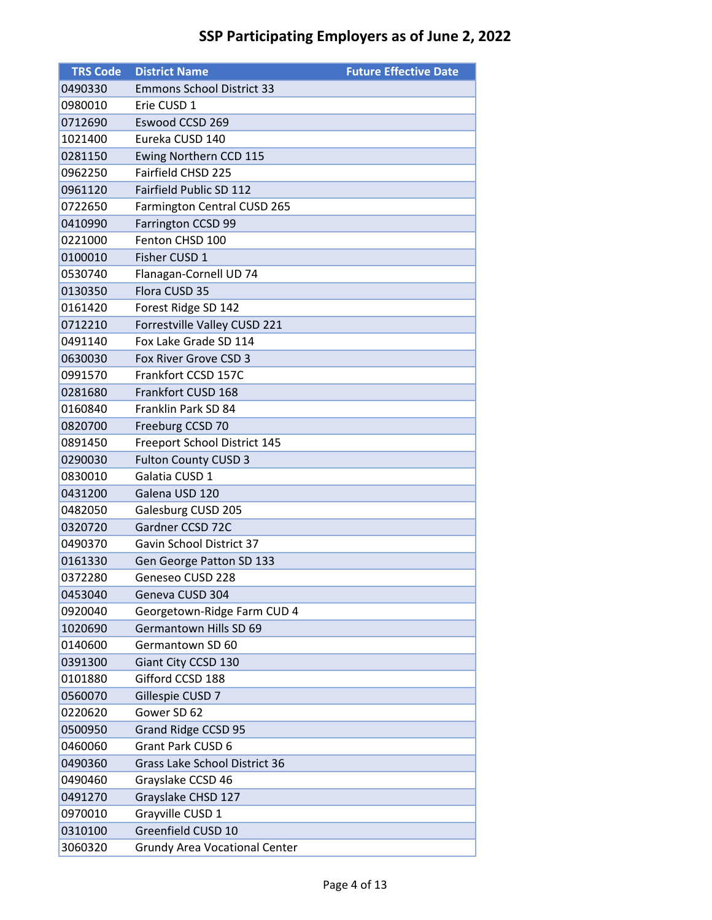| <b>TRS Code</b> | <b>District Name</b>                 | <b>Future Effective Date</b> |
|-----------------|--------------------------------------|------------------------------|
| 0490330         | <b>Emmons School District 33</b>     |                              |
| 0980010         | Erie CUSD 1                          |                              |
| 0712690         | Eswood CCSD 269                      |                              |
| 1021400         | Eureka CUSD 140                      |                              |
| 0281150         | Ewing Northern CCD 115               |                              |
| 0962250         | Fairfield CHSD 225                   |                              |
| 0961120         | Fairfield Public SD 112              |                              |
| 0722650         | Farmington Central CUSD 265          |                              |
| 0410990         | Farrington CCSD 99                   |                              |
| 0221000         | Fenton CHSD 100                      |                              |
| 0100010         | Fisher CUSD 1                        |                              |
| 0530740         | Flanagan-Cornell UD 74               |                              |
| 0130350         | Flora CUSD 35                        |                              |
| 0161420         | Forest Ridge SD 142                  |                              |
| 0712210         | Forrestville Valley CUSD 221         |                              |
| 0491140         | Fox Lake Grade SD 114                |                              |
| 0630030         | Fox River Grove CSD 3                |                              |
| 0991570         | Frankfort CCSD 157C                  |                              |
| 0281680         | Frankfort CUSD 168                   |                              |
| 0160840         | Franklin Park SD 84                  |                              |
| 0820700         | Freeburg CCSD 70                     |                              |
| 0891450         | Freeport School District 145         |                              |
| 0290030         | <b>Fulton County CUSD 3</b>          |                              |
| 0830010         | Galatia CUSD 1                       |                              |
| 0431200         | Galena USD 120                       |                              |
| 0482050         | Galesburg CUSD 205                   |                              |
| 0320720         | Gardner CCSD 72C                     |                              |
| 0490370         | Gavin School District 37             |                              |
| 0161330         | Gen George Patton SD 133             |                              |
| 0372280         | Geneseo CUSD 228                     |                              |
| 0453040         | Geneva CUSD 304                      |                              |
| 0920040         | Georgetown-Ridge Farm CUD 4          |                              |
| 1020690         | Germantown Hills SD 69               |                              |
| 0140600         | Germantown SD 60                     |                              |
| 0391300         | Giant City CCSD 130                  |                              |
| 0101880         | Gifford CCSD 188                     |                              |
| 0560070         | Gillespie CUSD 7                     |                              |
| 0220620         | Gower SD 62                          |                              |
| 0500950         | <b>Grand Ridge CCSD 95</b>           |                              |
| 0460060         | <b>Grant Park CUSD 6</b>             |                              |
| 0490360         | <b>Grass Lake School District 36</b> |                              |
| 0490460         | Grayslake CCSD 46                    |                              |
| 0491270         | Grayslake CHSD 127                   |                              |
| 0970010         | Grayville CUSD 1                     |                              |
| 0310100         | Greenfield CUSD 10                   |                              |
| 3060320         | <b>Grundy Area Vocational Center</b> |                              |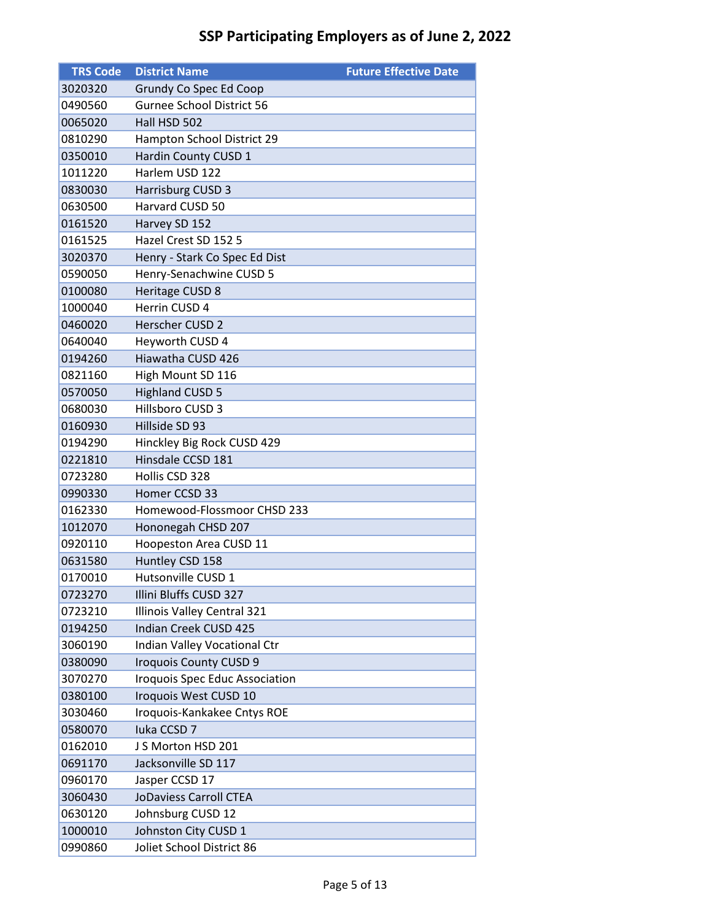| <b>TRS Code</b> | <b>District Name</b>             | <b>Future Effective Date</b> |
|-----------------|----------------------------------|------------------------------|
| 3020320         | Grundy Co Spec Ed Coop           |                              |
| 0490560         | <b>Gurnee School District 56</b> |                              |
| 0065020         | Hall HSD 502                     |                              |
| 0810290         | Hampton School District 29       |                              |
| 0350010         | Hardin County CUSD 1             |                              |
| 1011220         | Harlem USD 122                   |                              |
| 0830030         | Harrisburg CUSD 3                |                              |
| 0630500         | Harvard CUSD 50                  |                              |
| 0161520         | Harvey SD 152                    |                              |
| 0161525         | Hazel Crest SD 152 5             |                              |
| 3020370         | Henry - Stark Co Spec Ed Dist    |                              |
| 0590050         | Henry-Senachwine CUSD 5          |                              |
| 0100080         | Heritage CUSD 8                  |                              |
| 1000040         | Herrin CUSD 4                    |                              |
| 0460020         | Herscher CUSD 2                  |                              |
| 0640040         | Heyworth CUSD 4                  |                              |
| 0194260         | Hiawatha CUSD 426                |                              |
| 0821160         | High Mount SD 116                |                              |
| 0570050         | <b>Highland CUSD 5</b>           |                              |
| 0680030         | Hillsboro CUSD 3                 |                              |
| 0160930         | Hillside SD 93                   |                              |
| 0194290         | Hinckley Big Rock CUSD 429       |                              |
| 0221810         | Hinsdale CCSD 181                |                              |
| 0723280         | Hollis CSD 328                   |                              |
| 0990330         | Homer CCSD 33                    |                              |
| 0162330         | Homewood-Flossmoor CHSD 233      |                              |
| 1012070         | Hononegah CHSD 207               |                              |
| 0920110         | Hoopeston Area CUSD 11           |                              |
| 0631580         | Huntley CSD 158                  |                              |
| 0170010         | Hutsonville CUSD 1               |                              |
| 0723270         | Illini Bluffs CUSD 327           |                              |
| 0723210         | Illinois Valley Central 321      |                              |
| 0194250         | <b>Indian Creek CUSD 425</b>     |                              |
| 3060190         | Indian Valley Vocational Ctr     |                              |
| 0380090         | <b>Iroquois County CUSD 9</b>    |                              |
| 3070270         | Iroquois Spec Educ Association   |                              |
| 0380100         | Iroquois West CUSD 10            |                              |
| 3030460         | Iroquois-Kankakee Cntys ROE      |                              |
| 0580070         | Iuka CCSD 7                      |                              |
| 0162010         | J S Morton HSD 201               |                              |
| 0691170         | Jacksonville SD 117              |                              |
| 0960170         | Jasper CCSD 17                   |                              |
| 3060430         | JoDaviess Carroll CTEA           |                              |
| 0630120         | Johnsburg CUSD 12                |                              |
| 1000010         | Johnston City CUSD 1             |                              |
| 0990860         | Joliet School District 86        |                              |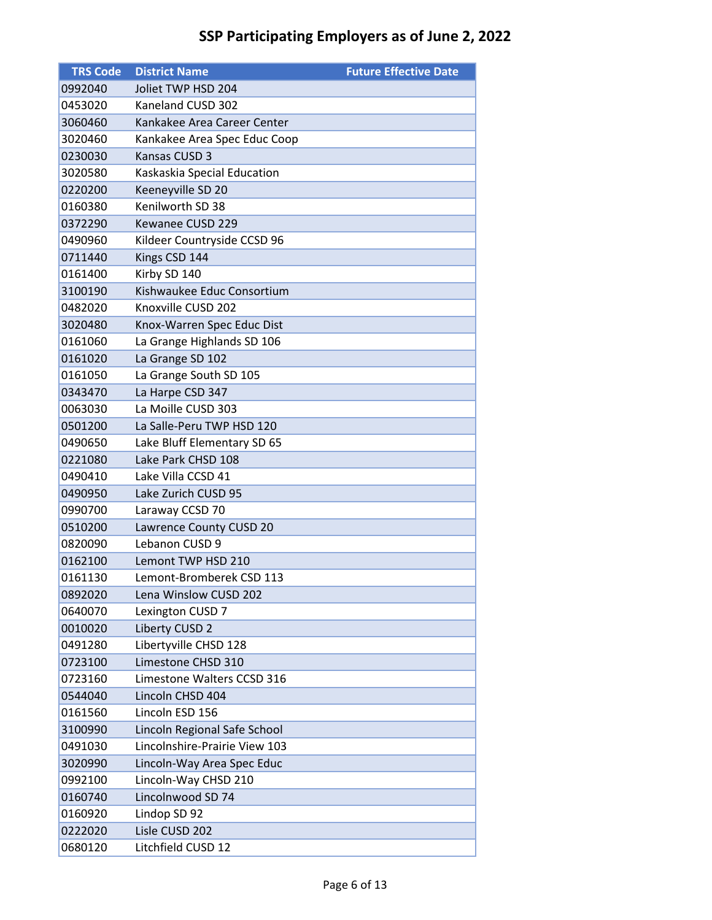| <b>TRS Code</b> | <b>District Name</b>          | <b>Future Effective Date</b> |
|-----------------|-------------------------------|------------------------------|
| 0992040         | Joliet TWP HSD 204            |                              |
| 0453020         | Kaneland CUSD 302             |                              |
| 3060460         | Kankakee Area Career Center   |                              |
| 3020460         | Kankakee Area Spec Educ Coop  |                              |
| 0230030         | Kansas CUSD 3                 |                              |
| 3020580         | Kaskaskia Special Education   |                              |
| 0220200         | Keeneyville SD 20             |                              |
| 0160380         | Kenilworth SD 38              |                              |
| 0372290         | Kewanee CUSD 229              |                              |
| 0490960         | Kildeer Countryside CCSD 96   |                              |
| 0711440         | Kings CSD 144                 |                              |
| 0161400         | Kirby SD 140                  |                              |
| 3100190         | Kishwaukee Educ Consortium    |                              |
| 0482020         | Knoxville CUSD 202            |                              |
| 3020480         | Knox-Warren Spec Educ Dist    |                              |
| 0161060         | La Grange Highlands SD 106    |                              |
| 0161020         | La Grange SD 102              |                              |
| 0161050         | La Grange South SD 105        |                              |
| 0343470         | La Harpe CSD 347              |                              |
| 0063030         | La Moille CUSD 303            |                              |
| 0501200         | La Salle-Peru TWP HSD 120     |                              |
| 0490650         | Lake Bluff Elementary SD 65   |                              |
| 0221080         | Lake Park CHSD 108            |                              |
| 0490410         | Lake Villa CCSD 41            |                              |
| 0490950         | Lake Zurich CUSD 95           |                              |
| 0990700         | Laraway CCSD 70               |                              |
| 0510200         | Lawrence County CUSD 20       |                              |
| 0820090         | Lebanon CUSD 9                |                              |
| 0162100         | Lemont TWP HSD 210            |                              |
| 0161130         | Lemont-Bromberek CSD 113      |                              |
| 0892020         | Lena Winslow CUSD 202         |                              |
| 0640070         | Lexington CUSD 7              |                              |
| 0010020         | Liberty CUSD 2                |                              |
| 0491280         | Libertyville CHSD 128         |                              |
| 0723100         | Limestone CHSD 310            |                              |
| 0723160         | Limestone Walters CCSD 316    |                              |
| 0544040         | Lincoln CHSD 404              |                              |
| 0161560         | Lincoln ESD 156               |                              |
| 3100990         | Lincoln Regional Safe School  |                              |
| 0491030         | Lincolnshire-Prairie View 103 |                              |
| 3020990         | Lincoln-Way Area Spec Educ    |                              |
| 0992100         | Lincoln-Way CHSD 210          |                              |
| 0160740         | Lincolnwood SD 74             |                              |
| 0160920         | Lindop SD 92                  |                              |
| 0222020         | Lisle CUSD 202                |                              |
| 0680120         | Litchfield CUSD 12            |                              |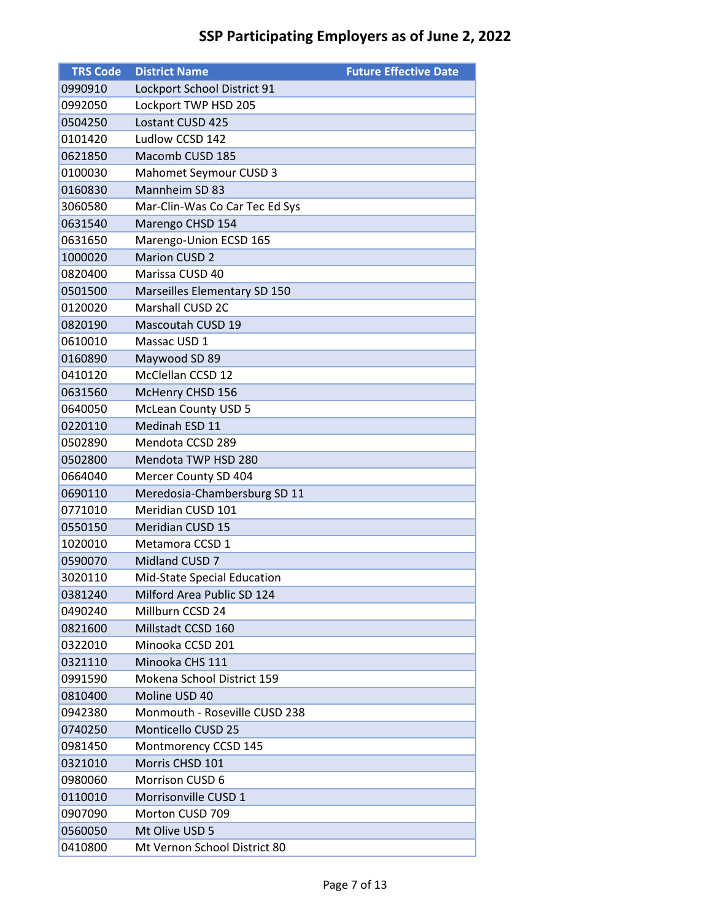| <b>TRS Code</b> | <b>District Name</b>           | <b>Future Effective Date</b> |
|-----------------|--------------------------------|------------------------------|
| 0990910         | Lockport School District 91    |                              |
| 0992050         | Lockport TWP HSD 205           |                              |
| 0504250         | Lostant CUSD 425               |                              |
| 0101420         | Ludlow CCSD 142                |                              |
| 0621850         | Macomb CUSD 185                |                              |
| 0100030         | Mahomet Seymour CUSD 3         |                              |
| 0160830         | Mannheim SD 83                 |                              |
| 3060580         | Mar-Clin-Was Co Car Tec Ed Sys |                              |
| 0631540         | Marengo CHSD 154               |                              |
| 0631650         | Marengo-Union ECSD 165         |                              |
| 1000020         | <b>Marion CUSD 2</b>           |                              |
| 0820400         | Marissa CUSD 40                |                              |
| 0501500         | Marseilles Elementary SD 150   |                              |
| 0120020         | Marshall CUSD 2C               |                              |
| 0820190         | Mascoutah CUSD 19              |                              |
| 0610010         | Massac USD 1                   |                              |
| 0160890         | Maywood SD 89                  |                              |
| 0410120         | McClellan CCSD 12              |                              |
| 0631560         | McHenry CHSD 156               |                              |
| 0640050         | <b>McLean County USD 5</b>     |                              |
| 0220110         | Medinah ESD 11                 |                              |
| 0502890         | Mendota CCSD 289               |                              |
| 0502800         | Mendota TWP HSD 280            |                              |
| 0664040         | Mercer County SD 404           |                              |
| 0690110         | Meredosia-Chambersburg SD 11   |                              |
| 0771010         | Meridian CUSD 101              |                              |
| 0550150         | <b>Meridian CUSD 15</b>        |                              |
| 1020010         | Metamora CCSD 1                |                              |
| 0590070         | Midland CUSD 7                 |                              |
| 3020110         | Mid-State Special Education    |                              |
| 0381240         | Milford Area Public SD 124     |                              |
| 0490240         | Millburn CCSD 24               |                              |
| 0821600         | Millstadt CCSD 160             |                              |
| 0322010         | Minooka CCSD 201               |                              |
| 0321110         | Minooka CHS 111                |                              |
| 0991590         | Mokena School District 159     |                              |
| 0810400         | Moline USD 40                  |                              |
| 0942380         | Monmouth - Roseville CUSD 238  |                              |
| 0740250         | Monticello CUSD 25             |                              |
| 0981450         | Montmorency CCSD 145           |                              |
| 0321010         | Morris CHSD 101                |                              |
| 0980060         | Morrison CUSD 6                |                              |
| 0110010         | Morrisonville CUSD 1           |                              |
| 0907090         | Morton CUSD 709                |                              |
| 0560050         | Mt Olive USD 5                 |                              |
| 0410800         | Mt Vernon School District 80   |                              |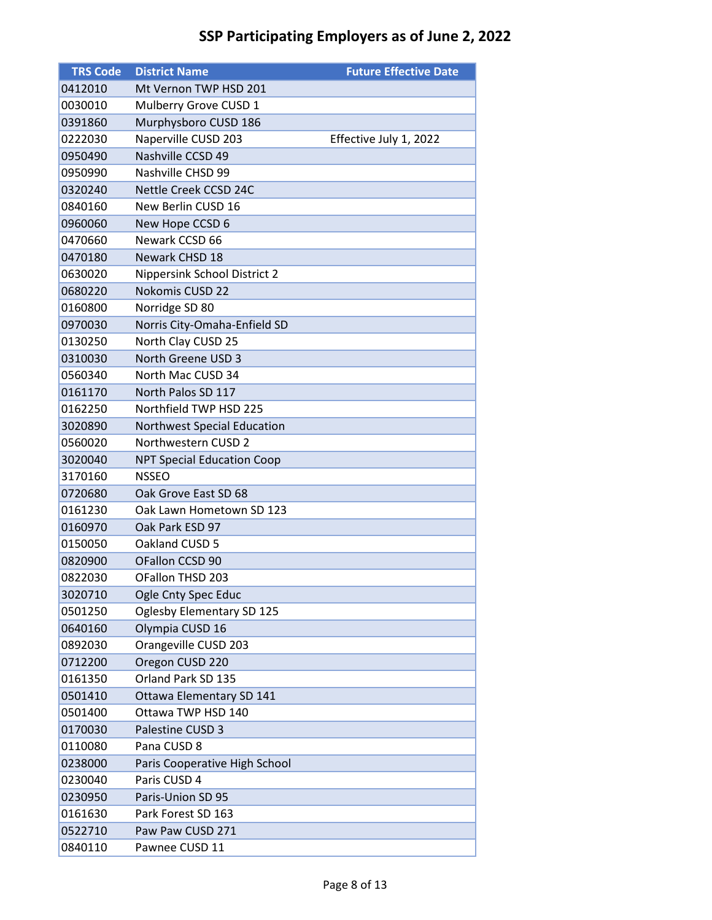| <b>TRS Code</b> | <b>District Name</b>              | <b>Future Effective Date</b> |
|-----------------|-----------------------------------|------------------------------|
| 0412010         | Mt Vernon TWP HSD 201             |                              |
| 0030010         | Mulberry Grove CUSD 1             |                              |
| 0391860         | Murphysboro CUSD 186              |                              |
| 0222030         | Naperville CUSD 203               | Effective July 1, 2022       |
| 0950490         | Nashville CCSD 49                 |                              |
| 0950990         | Nashville CHSD 99                 |                              |
| 0320240         | Nettle Creek CCSD 24C             |                              |
| 0840160         | New Berlin CUSD 16                |                              |
| 0960060         | New Hope CCSD 6                   |                              |
| 0470660         | Newark CCSD 66                    |                              |
| 0470180         | Newark CHSD 18                    |                              |
| 0630020         | Nippersink School District 2      |                              |
| 0680220         | <b>Nokomis CUSD 22</b>            |                              |
| 0160800         | Norridge SD 80                    |                              |
| 0970030         | Norris City-Omaha-Enfield SD      |                              |
| 0130250         | North Clay CUSD 25                |                              |
| 0310030         | North Greene USD 3                |                              |
| 0560340         | North Mac CUSD 34                 |                              |
| 0161170         | North Palos SD 117                |                              |
| 0162250         | Northfield TWP HSD 225            |                              |
| 3020890         | Northwest Special Education       |                              |
| 0560020         | Northwestern CUSD 2               |                              |
| 3020040         | <b>NPT Special Education Coop</b> |                              |
| 3170160         | <b>NSSEO</b>                      |                              |
| 0720680         | Oak Grove East SD 68              |                              |
| 0161230         | Oak Lawn Hometown SD 123          |                              |
| 0160970         | Oak Park ESD 97                   |                              |
| 0150050         | Oakland CUSD 5                    |                              |
| 0820900         | OFallon CCSD 90                   |                              |
| 0822030         | OFallon THSD 203                  |                              |
| 3020710         | Ogle Cnty Spec Educ               |                              |
| 0501250         | Oglesby Elementary SD 125         |                              |
| 0640160         | Olympia CUSD 16                   |                              |
| 0892030         | Orangeville CUSD 203              |                              |
| 0712200         | Oregon CUSD 220                   |                              |
| 0161350         | Orland Park SD 135                |                              |
| 0501410         | Ottawa Elementary SD 141          |                              |
| 0501400         | Ottawa TWP HSD 140                |                              |
| 0170030         | Palestine CUSD 3                  |                              |
| 0110080         | Pana CUSD 8                       |                              |
| 0238000         | Paris Cooperative High School     |                              |
| 0230040         | Paris CUSD 4                      |                              |
| 0230950         | Paris-Union SD 95                 |                              |
| 0161630         | Park Forest SD 163                |                              |
| 0522710         | Paw Paw CUSD 271                  |                              |
| 0840110         | Pawnee CUSD 11                    |                              |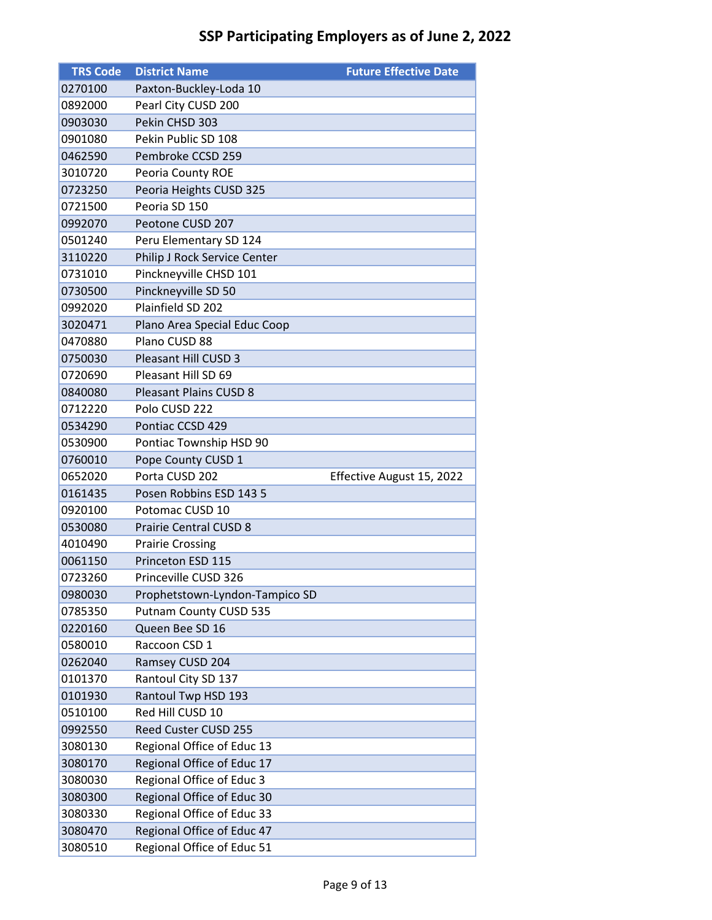| <b>TRS Code</b>    | <b>District Name</b>                                     | <b>Future Effective Date</b> |
|--------------------|----------------------------------------------------------|------------------------------|
| 0270100            | Paxton-Buckley-Loda 10                                   |                              |
| 0892000            | Pearl City CUSD 200                                      |                              |
| 0903030            | Pekin CHSD 303                                           |                              |
| 0901080            | Pekin Public SD 108                                      |                              |
| 0462590            | Pembroke CCSD 259                                        |                              |
| 3010720            | Peoria County ROE                                        |                              |
| 0723250            | Peoria Heights CUSD 325                                  |                              |
| 0721500            | Peoria SD 150                                            |                              |
| 0992070            | Peotone CUSD 207                                         |                              |
| 0501240            | Peru Elementary SD 124                                   |                              |
| 3110220            | Philip J Rock Service Center                             |                              |
| 0731010            | Pinckneyville CHSD 101                                   |                              |
| 0730500            | Pinckneyville SD 50                                      |                              |
| 0992020            | Plainfield SD 202                                        |                              |
| 3020471            | Plano Area Special Educ Coop                             |                              |
| 0470880            | Plano CUSD 88                                            |                              |
| 0750030            | Pleasant Hill CUSD 3                                     |                              |
| 0720690            | Pleasant Hill SD 69                                      |                              |
| 0840080            | <b>Pleasant Plains CUSD 8</b>                            |                              |
| 0712220            | Polo CUSD 222                                            |                              |
| 0534290            | Pontiac CCSD 429                                         |                              |
| 0530900            | Pontiac Township HSD 90                                  |                              |
|                    |                                                          |                              |
| 0760010            | Pope County CUSD 1                                       |                              |
| 0652020            | Porta CUSD 202                                           | Effective August 15, 2022    |
| 0161435            | Posen Robbins ESD 143 5                                  |                              |
| 0920100            | Potomac CUSD 10                                          |                              |
| 0530080            | <b>Prairie Central CUSD 8</b>                            |                              |
| 4010490            | <b>Prairie Crossing</b>                                  |                              |
| 0061150            | Princeton ESD 115                                        |                              |
| 0723260            | Princeville CUSD 326                                     |                              |
| 0980030            | Prophetstown-Lyndon-Tampico SD                           |                              |
| 0785350            | Putnam County CUSD 535                                   |                              |
| 0220160            | Queen Bee SD 16                                          |                              |
| 0580010            | Raccoon CSD 1                                            |                              |
| 0262040            | Ramsey CUSD 204                                          |                              |
| 0101370            | Rantoul City SD 137                                      |                              |
| 0101930            | Rantoul Twp HSD 193                                      |                              |
| 0510100            | Red Hill CUSD 10                                         |                              |
| 0992550            | Reed Custer CUSD 255                                     |                              |
| 3080130            | Regional Office of Educ 13                               |                              |
| 3080170            | Regional Office of Educ 17                               |                              |
| 3080030            | Regional Office of Educ 3                                |                              |
| 3080300            | Regional Office of Educ 30                               |                              |
| 3080330            | Regional Office of Educ 33                               |                              |
| 3080470<br>3080510 | Regional Office of Educ 47<br>Regional Office of Educ 51 |                              |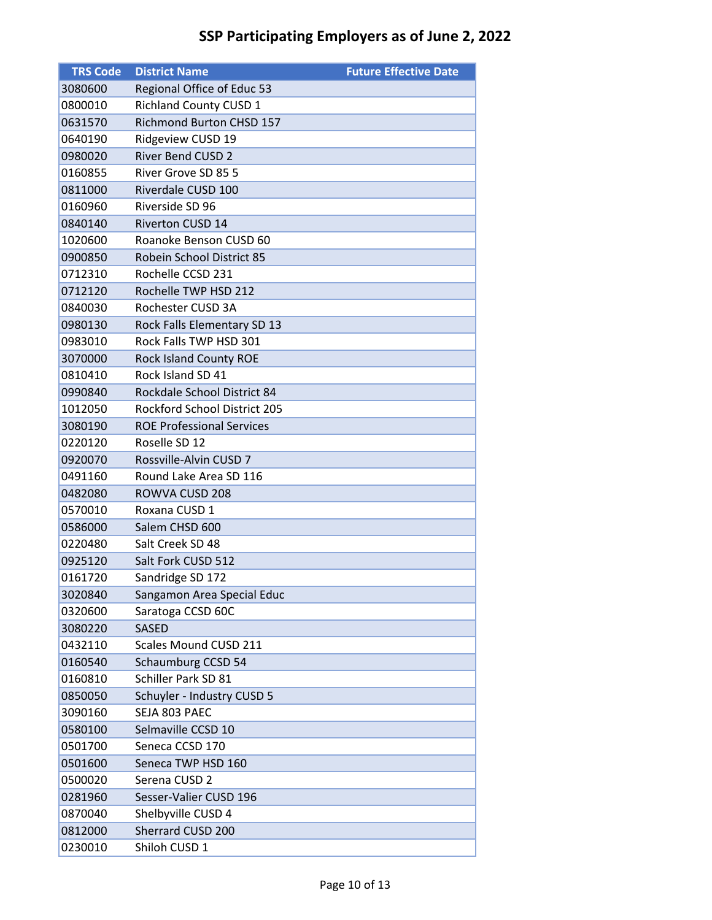| <b>TRS Code</b> | <b>District Name</b>             | <b>Future Effective Date</b> |
|-----------------|----------------------------------|------------------------------|
| 3080600         | Regional Office of Educ 53       |                              |
| 0800010         | <b>Richland County CUSD 1</b>    |                              |
| 0631570         | Richmond Burton CHSD 157         |                              |
| 0640190         | Ridgeview CUSD 19                |                              |
| 0980020         | <b>River Bend CUSD 2</b>         |                              |
| 0160855         | River Grove SD 85 5              |                              |
| 0811000         | Riverdale CUSD 100               |                              |
| 0160960         | Riverside SD 96                  |                              |
| 0840140         | <b>Riverton CUSD 14</b>          |                              |
| 1020600         | Roanoke Benson CUSD 60           |                              |
| 0900850         | Robein School District 85        |                              |
| 0712310         | Rochelle CCSD 231                |                              |
| 0712120         | Rochelle TWP HSD 212             |                              |
| 0840030         | Rochester CUSD 3A                |                              |
| 0980130         | Rock Falls Elementary SD 13      |                              |
| 0983010         | Rock Falls TWP HSD 301           |                              |
| 3070000         | Rock Island County ROE           |                              |
| 0810410         | Rock Island SD 41                |                              |
| 0990840         | Rockdale School District 84      |                              |
| 1012050         | Rockford School District 205     |                              |
| 3080190         | <b>ROE Professional Services</b> |                              |
| 0220120         | Roselle SD 12                    |                              |
| 0920070         | Rossville-Alvin CUSD 7           |                              |
| 0491160         | Round Lake Area SD 116           |                              |
| 0482080         | ROWVA CUSD 208                   |                              |
| 0570010         | Roxana CUSD 1                    |                              |
| 0586000         | Salem CHSD 600                   |                              |
| 0220480         | Salt Creek SD 48                 |                              |
| 0925120         | Salt Fork CUSD 512               |                              |
| 0161720         | Sandridge SD 172                 |                              |
| 3020840         | Sangamon Area Special Educ       |                              |
| 0320600         | Saratoga CCSD 60C                |                              |
| 3080220         | <b>SASED</b>                     |                              |
| 0432110         | Scales Mound CUSD 211            |                              |
| 0160540         | Schaumburg CCSD 54               |                              |
| 0160810         | Schiller Park SD 81              |                              |
| 0850050         | Schuyler - Industry CUSD 5       |                              |
| 3090160         | SEJA 803 PAEC                    |                              |
| 0580100         | Selmaville CCSD 10               |                              |
| 0501700         | Seneca CCSD 170                  |                              |
| 0501600         | Seneca TWP HSD 160               |                              |
| 0500020         | Serena CUSD 2                    |                              |
| 0281960         | Sesser-Valier CUSD 196           |                              |
| 0870040         | Shelbyville CUSD 4               |                              |
| 0812000         | Sherrard CUSD 200                |                              |
| 0230010         | Shiloh CUSD 1                    |                              |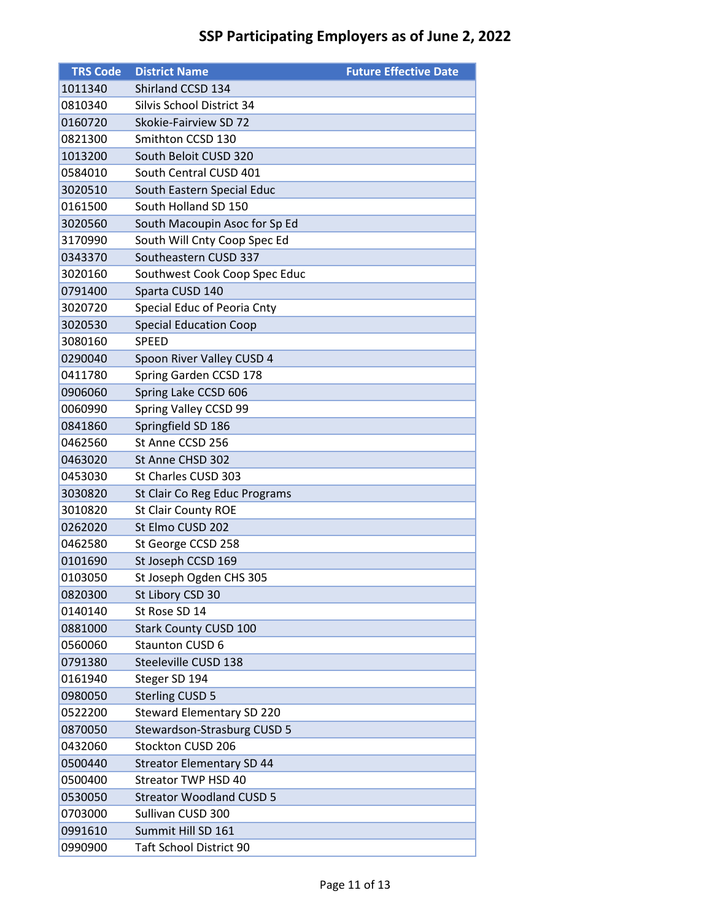| <b>TRS Code</b> | <b>District Name</b>             | <b>Future Effective Date</b> |
|-----------------|----------------------------------|------------------------------|
| 1011340         | Shirland CCSD 134                |                              |
| 0810340         | Silvis School District 34        |                              |
| 0160720         | Skokie-Fairview SD 72            |                              |
| 0821300         | Smithton CCSD 130                |                              |
| 1013200         | South Beloit CUSD 320            |                              |
| 0584010         | South Central CUSD 401           |                              |
| 3020510         | South Eastern Special Educ       |                              |
| 0161500         | South Holland SD 150             |                              |
| 3020560         | South Macoupin Asoc for Sp Ed    |                              |
| 3170990         | South Will Cnty Coop Spec Ed     |                              |
| 0343370         | Southeastern CUSD 337            |                              |
| 3020160         | Southwest Cook Coop Spec Educ    |                              |
| 0791400         | Sparta CUSD 140                  |                              |
| 3020720         | Special Educ of Peoria Cnty      |                              |
| 3020530         | <b>Special Education Coop</b>    |                              |
| 3080160         | <b>SPEED</b>                     |                              |
| 0290040         | Spoon River Valley CUSD 4        |                              |
| 0411780         | Spring Garden CCSD 178           |                              |
| 0906060         | Spring Lake CCSD 606             |                              |
| 0060990         | Spring Valley CCSD 99            |                              |
| 0841860         | Springfield SD 186               |                              |
| 0462560         | St Anne CCSD 256                 |                              |
| 0463020         | St Anne CHSD 302                 |                              |
| 0453030         | St Charles CUSD 303              |                              |
| 3030820         | St Clair Co Reg Educ Programs    |                              |
| 3010820         | <b>St Clair County ROE</b>       |                              |
| 0262020         | St Elmo CUSD 202                 |                              |
| 0462580         | St George CCSD 258               |                              |
| 0101690         | St Joseph CCSD 169               |                              |
| 0103050         | St Joseph Ogden CHS 305          |                              |
| 0820300         | St Libory CSD 30                 |                              |
| 0140140         | St Rose SD 14                    |                              |
| 0881000         | <b>Stark County CUSD 100</b>     |                              |
| 0560060         | <b>Staunton CUSD 6</b>           |                              |
| 0791380         | Steeleville CUSD 138             |                              |
| 0161940         | Steger SD 194                    |                              |
| 0980050         | <b>Sterling CUSD 5</b>           |                              |
| 0522200         | <b>Steward Elementary SD 220</b> |                              |
| 0870050         | Stewardson-Strasburg CUSD 5      |                              |
| 0432060         | Stockton CUSD 206                |                              |
| 0500440         | <b>Streator Elementary SD 44</b> |                              |
| 0500400         | Streator TWP HSD 40              |                              |
| 0530050         | <b>Streator Woodland CUSD 5</b>  |                              |
| 0703000         | Sullivan CUSD 300                |                              |
| 0991610         | Summit Hill SD 161               |                              |
| 0990900         | <b>Taft School District 90</b>   |                              |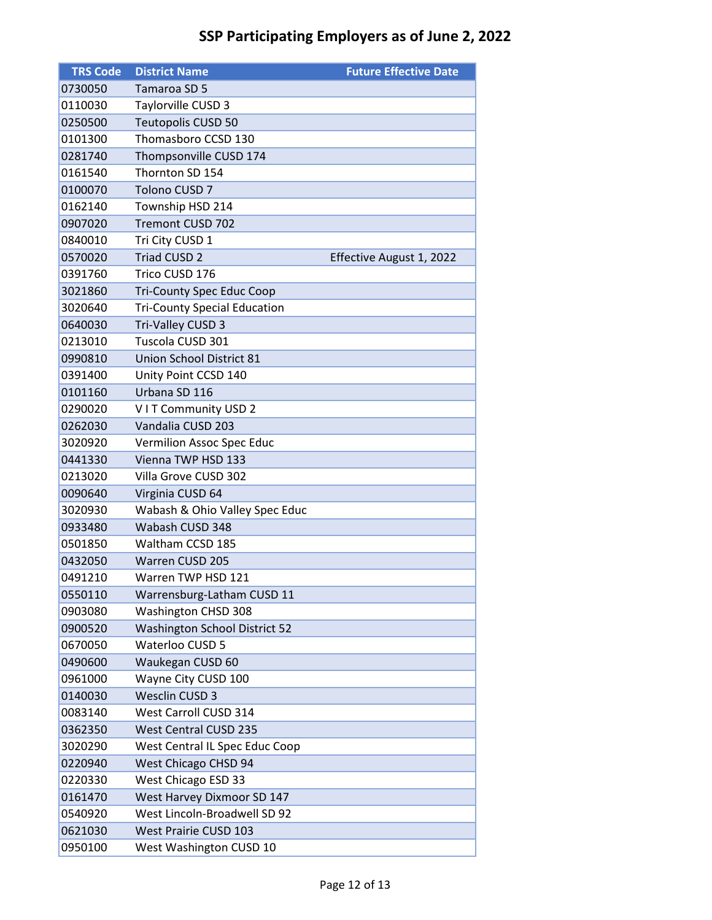| <b>TRS Code</b> | <b>District Name</b>                 | <b>Future Effective Date</b> |
|-----------------|--------------------------------------|------------------------------|
| 0730050         | Tamaroa SD 5                         |                              |
| 0110030         | Taylorville CUSD 3                   |                              |
| 0250500         | Teutopolis CUSD 50                   |                              |
| 0101300         | Thomasboro CCSD 130                  |                              |
| 0281740         | Thompsonville CUSD 174               |                              |
| 0161540         | Thornton SD 154                      |                              |
| 0100070         | <b>Tolono CUSD 7</b>                 |                              |
| 0162140         | Township HSD 214                     |                              |
| 0907020         | <b>Tremont CUSD 702</b>              |                              |
| 0840010         | Tri City CUSD 1                      |                              |
| 0570020         | <b>Triad CUSD 2</b>                  | Effective August 1, 2022     |
| 0391760         | Trico CUSD 176                       |                              |
| 3021860         | <b>Tri-County Spec Educ Coop</b>     |                              |
| 3020640         | <b>Tri-County Special Education</b>  |                              |
| 0640030         | Tri-Valley CUSD 3                    |                              |
| 0213010         | Tuscola CUSD 301                     |                              |
| 0990810         | Union School District 81             |                              |
| 0391400         | Unity Point CCSD 140                 |                              |
| 0101160         | Urbana SD 116                        |                              |
| 0290020         | VIT Community USD 2                  |                              |
| 0262030         | Vandalia CUSD 203                    |                              |
| 3020920         | Vermilion Assoc Spec Educ            |                              |
| 0441330         | Vienna TWP HSD 133                   |                              |
| 0213020         | Villa Grove CUSD 302                 |                              |
| 0090640         | Virginia CUSD 64                     |                              |
| 3020930         | Wabash & Ohio Valley Spec Educ       |                              |
| 0933480         | Wabash CUSD 348                      |                              |
| 0501850         | Waltham CCSD 185                     |                              |
| 0432050         | Warren CUSD 205                      |                              |
| 0491210         | Warren TWP HSD 121                   |                              |
| 0550110         | Warrensburg-Latham CUSD 11           |                              |
| 0903080         | <b>Washington CHSD 308</b>           |                              |
| 0900520         | <b>Washington School District 52</b> |                              |
| 0670050         | Waterloo CUSD 5                      |                              |
| 0490600         | Waukegan CUSD 60                     |                              |
| 0961000         | Wayne City CUSD 100                  |                              |
| 0140030         | Wesclin CUSD 3                       |                              |
| 0083140         | West Carroll CUSD 314                |                              |
| 0362350         | <b>West Central CUSD 235</b>         |                              |
| 3020290         | West Central IL Spec Educ Coop       |                              |
| 0220940         | West Chicago CHSD 94                 |                              |
| 0220330         | West Chicago ESD 33                  |                              |
| 0161470         | West Harvey Dixmoor SD 147           |                              |
| 0540920         | West Lincoln-Broadwell SD 92         |                              |
| 0621030         | West Prairie CUSD 103                |                              |
| 0950100         | West Washington CUSD 10              |                              |